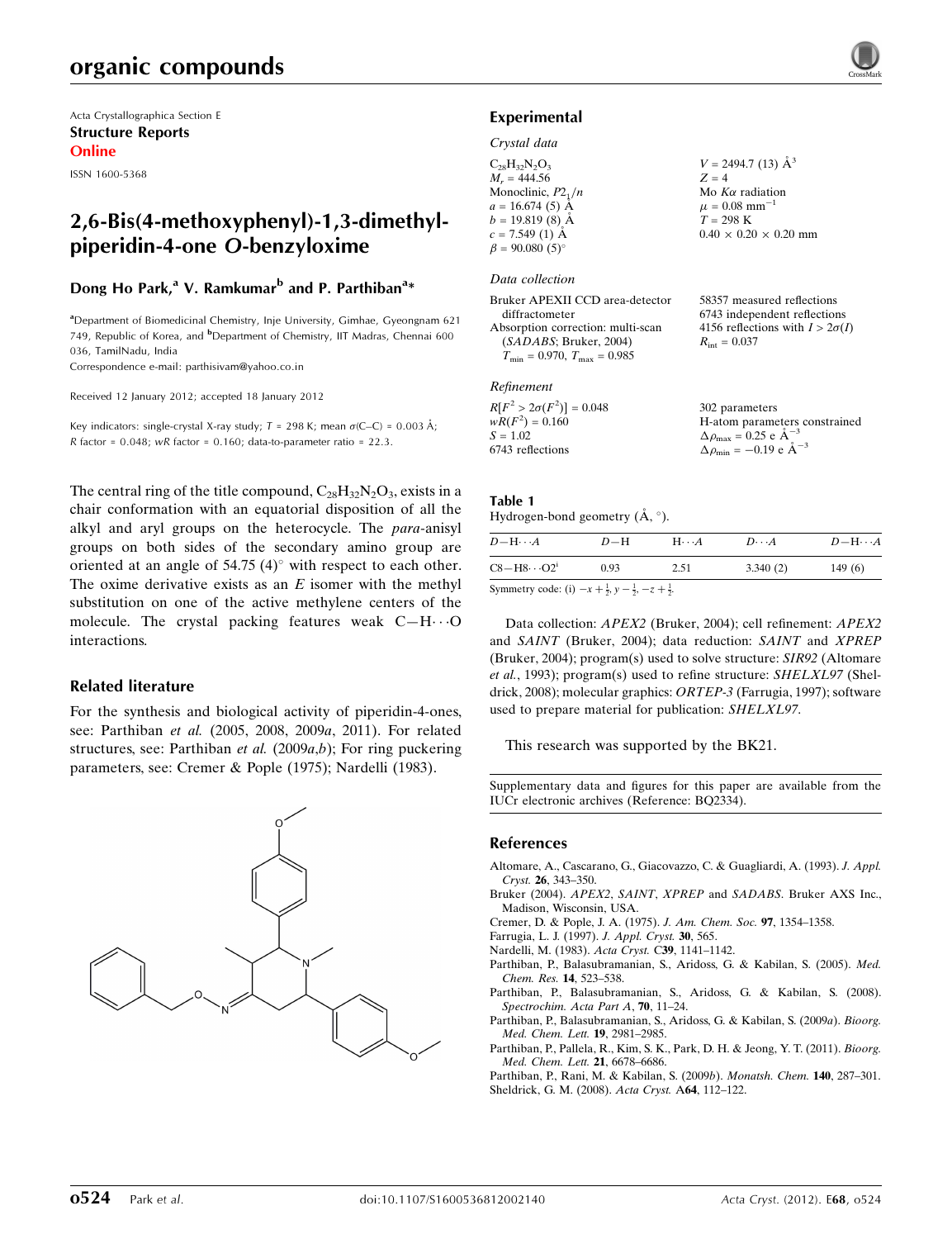# organic compounds

Acta Crystallographica Section E Structure Reports Online

ISSN 1600-5368

# 2,6-Bis(4-methoxyphenyl)-1,3-dimethylpiperidin-4-one O-benzyloxime

## Dong Ho Park,<sup>a</sup> V. Ramkumar<sup>b</sup> and P. Parthiban<sup>a</sup>\*

<sup>a</sup> Department of Biomedicinal Chemistry, Inje University, Gimhae, Gyeongnam 621 749, Republic of Korea, and <sup>b</sup>Department of Chemistry, IIT Madras, Chennai 600 036, TamilNadu, India

Correspondence e-mail: [parthisivam@yahoo.co.in](http://scripts.iucr.org/cgi-bin/cr.cgi?rm=pdfbb&cnor=bq2334&bbid=BB11)

Received 12 January 2012; accepted 18 January 2012

Key indicators: single-crystal X-ray study;  $T = 298$  K; mean  $\sigma$ (C–C) = 0.003 Å; R factor =  $0.048$ ; wR factor =  $0.160$ ; data-to-parameter ratio =  $22.3$ .

The central ring of the title compound,  $C_{28}H_{32}N_2O_3$ , exists in a chair conformation with an equatorial disposition of all the alkyl and aryl groups on the heterocycle. The para-anisyl groups on both sides of the secondary amino group are oriented at an angle of  $54.75$  (4) $^{\circ}$  with respect to each other. The oxime derivative exists as an  $E$  isomer with the methyl substitution on one of the active methylene centers of the molecule. The crystal packing features weak  $C-H\cdots O$ interactions.

### Related literature

For the synthesis and biological activity of piperidin-4-ones, see: Parthiban et al. (2005, 2008, 2009a, 2011). For related structures, see: Parthiban *et al.* (2009*a,b*); For ring puckering parameters, see: Cremer & Pople (1975); Nardelli (1983).



### Experimental

#### Crystal data

 $C_{28}H_{32}N_2O_3$  $M_r = 444.56$ Monoclinic,  $P2_1/n$  $a = 16.674(5)$  Å  $b = 19.819(8)$  Å  $c = 7.549(1)$  Å  $\beta = 90.080(5)$  $V = 2494.7$  (13)  $\AA^3$  $Z = 4$ Mo  $K\alpha$  radiation  $\mu = 0.08$  mm<sup>-1</sup>  $T = 298 \text{ K}$  $0.40 \times 0.20 \times 0.20$  mm

#### Data collection

| Bruker APEXII CCD area-detector                     | 58357 measured reflections             |
|-----------------------------------------------------|----------------------------------------|
| diffractometer                                      | 6743 independent reflections           |
| Absorption correction: multi-scan                   | 4156 reflections with $I > 2\sigma(I)$ |
| (SADABS; Bruker, 2004)                              | $R_{\rm int} = 0.037$                  |
| $T_{\text{min}} = 0.970$ , $T_{\text{max}} = 0.985$ |                                        |
|                                                     |                                        |
|                                                     |                                        |

### Refinement

| $R[F^2 > 2\sigma(F^2)] = 0.048$ | 302 parameters                                     |
|---------------------------------|----------------------------------------------------|
| $wR(F^2) = 0.160$               | H-atom parameters constrained                      |
| $S = 1.02$                      | $\Delta \rho_{\text{max}} = 0.25 \text{ e A}^{-3}$ |
| 6743 reflections                | $\Delta \rho_{\text{min}} = -0.19$ e $\AA^{-3}$    |

### Table 1

## Hydrogen-bond geometry  $(\AA, \degree)$ .

 $D-\mathbf{H}\cdot\cdot\cdot A$   $D-\mathbf{H}$   $\mathbf{H}\cdot\cdot\cdot A$   $D\cdot\cdot\cdot A$   $D-\mathbf{H}\cdot\cdot\cdot A$  $C8 - H8 \cdot \cdot \cdot O2^i$  0.93 2.51 3.340 (2) 149 (6)

Symmetry code: (i)  $-x + \frac{1}{2}$ ,  $y - \frac{1}{2}$ ,  $-z + \frac{1}{2}$ .

Data collection: APEX2 (Bruker, 2004); cell refinement: APEX2 and SAINT (Bruker, 2004); data reduction: SAINT and XPREP (Bruker, 2004); program(s) used to solve structure: SIR92 (Altomare et al., 1993); program(s) used to refine structure: SHELXL97 (Sheldrick, 2008); molecular graphics: ORTEP-3 (Farrugia, 1997); software used to prepare material for publication: SHELXL97.

This research was supported by the BK21.

Supplementary data and figures for this paper are available from the IUCr electronic archives (Reference: BQ2334).

### References

- [Altomare, A., Cascarano, G., Giacovazzo, C. & Guagliardi, A. \(1993\).](http://scripts.iucr.org/cgi-bin/cr.cgi?rm=pdfbb&cnor=bq2334&bbid=BB1) J. Appl. Cryst. 26[, 343–350.](http://scripts.iucr.org/cgi-bin/cr.cgi?rm=pdfbb&cnor=bq2334&bbid=BB1)
- Bruker (2004). APEX2, SAINT, XPREP and SADABS[. Bruker AXS Inc.,](http://scripts.iucr.org/cgi-bin/cr.cgi?rm=pdfbb&cnor=bq2334&bbid=BB2) [Madison, Wisconsin, USA.](http://scripts.iucr.org/cgi-bin/cr.cgi?rm=pdfbb&cnor=bq2334&bbid=BB2)
- [Cremer, D. & Pople, J. A. \(1975\).](http://scripts.iucr.org/cgi-bin/cr.cgi?rm=pdfbb&cnor=bq2334&bbid=BB3) J. Am. Chem. Soc. 97, 1354–1358.
- [Farrugia, L. J. \(1997\).](http://scripts.iucr.org/cgi-bin/cr.cgi?rm=pdfbb&cnor=bq2334&bbid=BB4) J. Appl. Cryst. 30, 565.
- [Nardelli, M. \(1983\).](http://scripts.iucr.org/cgi-bin/cr.cgi?rm=pdfbb&cnor=bq2334&bbid=BB5) Acta Cryst. C39, 1141–1142.
- [Parthiban, P., Balasubramanian, S., Aridoss, G. & Kabilan, S. \(2005\).](http://scripts.iucr.org/cgi-bin/cr.cgi?rm=pdfbb&cnor=bq2334&bbid=BB6) Med. [Chem. Res.](http://scripts.iucr.org/cgi-bin/cr.cgi?rm=pdfbb&cnor=bq2334&bbid=BB6) 14, 523–538.
- [Parthiban, P., Balasubramanian, S., Aridoss, G. & Kabilan, S. \(2008\).](http://scripts.iucr.org/cgi-bin/cr.cgi?rm=pdfbb&cnor=bq2334&bbid=BB7) [Spectrochim. Acta Part A](http://scripts.iucr.org/cgi-bin/cr.cgi?rm=pdfbb&cnor=bq2334&bbid=BB7), 70, 11–24.
- [Parthiban, P., Balasubramanian, S., Aridoss, G. & Kabilan, S. \(2009](http://scripts.iucr.org/cgi-bin/cr.cgi?rm=pdfbb&cnor=bq2334&bbid=BB8)a). Bioorg. [Med. Chem. Lett.](http://scripts.iucr.org/cgi-bin/cr.cgi?rm=pdfbb&cnor=bq2334&bbid=BB8) 19, 2981–2985.
- [Parthiban, P., Pallela, R., Kim, S. K., Park, D. H. & Jeong, Y. T. \(2011\).](http://scripts.iucr.org/cgi-bin/cr.cgi?rm=pdfbb&cnor=bq2334&bbid=BB9) Bioorg. [Med. Chem. Lett.](http://scripts.iucr.org/cgi-bin/cr.cgi?rm=pdfbb&cnor=bq2334&bbid=BB9) 21, 6678–6686.

[Parthiban, P., Rani, M. & Kabilan, S. \(2009](http://scripts.iucr.org/cgi-bin/cr.cgi?rm=pdfbb&cnor=bq2334&bbid=BB10)b). Monatsh. Chem. 140, 287–301. [Sheldrick, G. M. \(2008\).](http://scripts.iucr.org/cgi-bin/cr.cgi?rm=pdfbb&cnor=bq2334&bbid=BB11) Acta Cryst. A64, 112–122.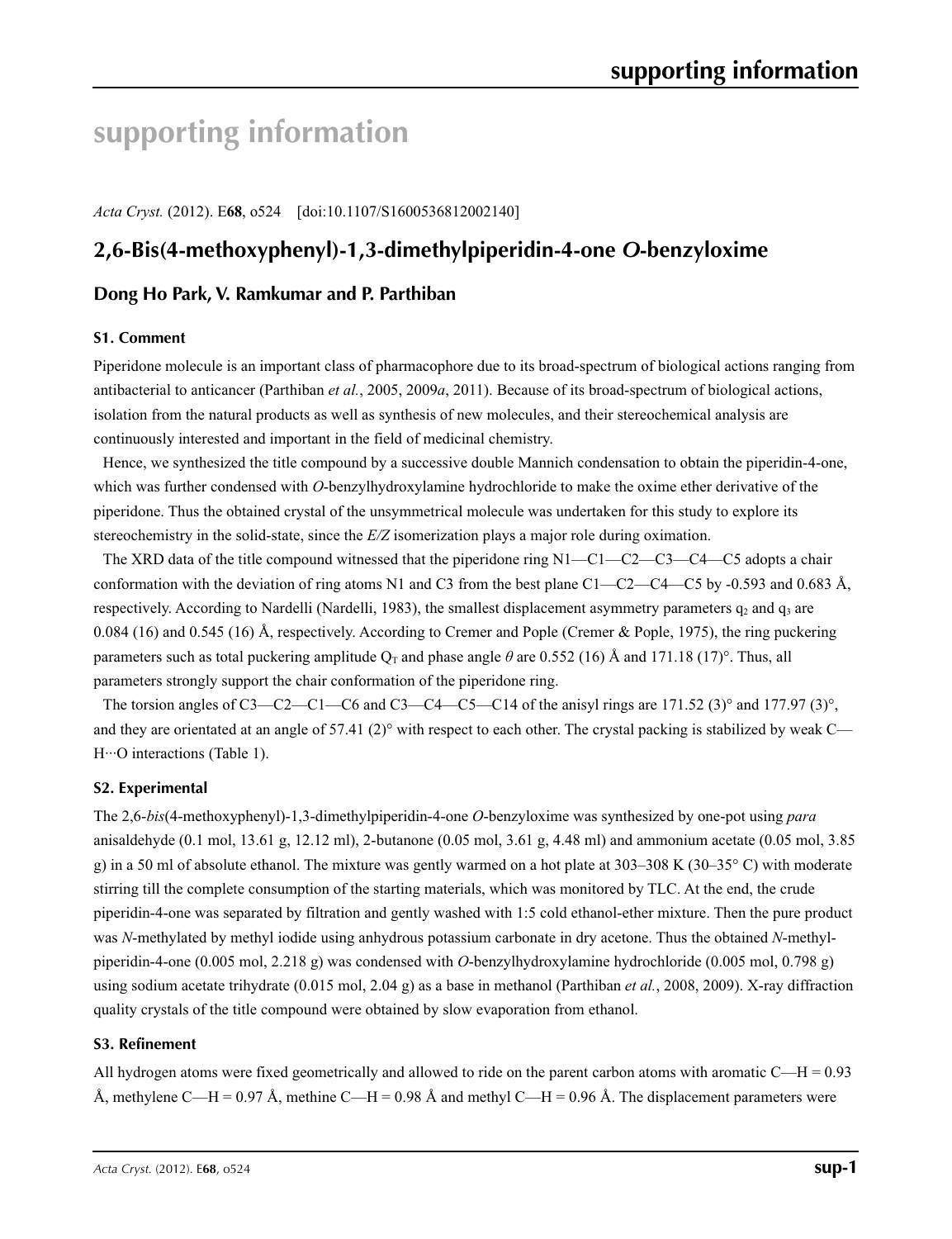# **supporting information**

*Acta Cryst.* (2012). E**68**, o524 [doi:10.1107/S1600536812002140]

# **2,6-Bis(4-methoxyphenyl)-1,3-dimethylpiperidin-4-one** *O***-benzyloxime**

# **Dong Ho Park, V. Ramkumar and P. Parthiban**

### **S1. Comment**

Piperidone molecule is an important class of pharmacophore due to its broad-spectrum of biological actions ranging from antibacterial to anticancer (Parthiban *et al.*, 2005, 2009*a*, 2011). Because of its broad-spectrum of biological actions, isolation from the natural products as well as synthesis of new molecules, and their stereochemical analysis are continuously interested and important in the field of medicinal chemistry.

Hence, we synthesized the title compound by a successive double Mannich condensation to obtain the piperidin-4-one, which was further condensed with *O*-benzylhydroxylamine hydrochloride to make the oxime ether derivative of the piperidone. Thus the obtained crystal of the unsymmetrical molecule was undertaken for this study to explore its stereochemistry in the solid-state, since the *E/Z* isomerization plays a major role during oximation.

The XRD data of the title compound witnessed that the piperidone ring  $N1 - C1 - C2 - C3 - C4 - C5$  adopts a chair conformation with the deviation of ring atoms N1 and C3 from the best plane C1—C2—C4—C5 by -0.593 and 0.683 Å, respectively. According to Nardelli (Nardelli, 1983), the smallest displacement asymmetry parameters  $q_2$  and  $q_3$  are 0.084 (16) and 0.545 (16) Å, respectively. According to Cremer and Pople (Cremer & Pople, 1975), the ring puckering parameters such as total puckering amplitude  $Q_T$  and phase angle  $\theta$  are 0.552 (16) Å and 171.18 (17)°. Thus, all parameters strongly support the chair conformation of the piperidone ring.

The torsion angles of C3—C2—C1—C6 and C3—C4—C5—C14 of the anisyl rings are 171.52 (3)° and 177.97 (3)°, and they are orientated at an angle of  $57.41$  (2)° with respect to each other. The crystal packing is stabilized by weak C— H···O interactions (Table 1).

## **S2. Experimental**

The 2,6-*bis*(4-methoxyphenyl)-1,3-dimethylpiperidin-4-one *O*-benzyloxime was synthesized by one-pot using *para* anisaldehyde (0.1 mol, 13.61 g, 12.12 ml), 2-butanone (0.05 mol, 3.61 g, 4.48 ml) and ammonium acetate (0.05 mol, 3.85 g) in a 50 ml of absolute ethanol. The mixture was gently warmed on a hot plate at 303–308 K (30–35° C) with moderate stirring till the complete consumption of the starting materials, which was monitored by TLC. At the end, the crude piperidin-4-one was separated by filtration and gently washed with 1:5 cold ethanol-ether mixture. Then the pure product was *N*-methylated by methyl iodide using anhydrous potassium carbonate in dry acetone. Thus the obtained *N*-methylpiperidin-4-one (0.005 mol, 2.218 g) was condensed with *O*-benzylhydroxylamine hydrochloride (0.005 mol, 0.798 g) using sodium acetate trihydrate (0.015 mol, 2.04 g) as a base in methanol (Parthiban *et al.*, 2008, 2009). X-ray diffraction quality crystals of the title compound were obtained by slow evaporation from ethanol.

### **S3. Refinement**

All hydrogen atoms were fixed geometrically and allowed to ride on the parent carbon atoms with aromatic  $C-H = 0.93$ Å, methylene C—H = 0.97 Å, methine C—H = 0.98 Å and methyl C—H = 0.96 Å. The displacement parameters were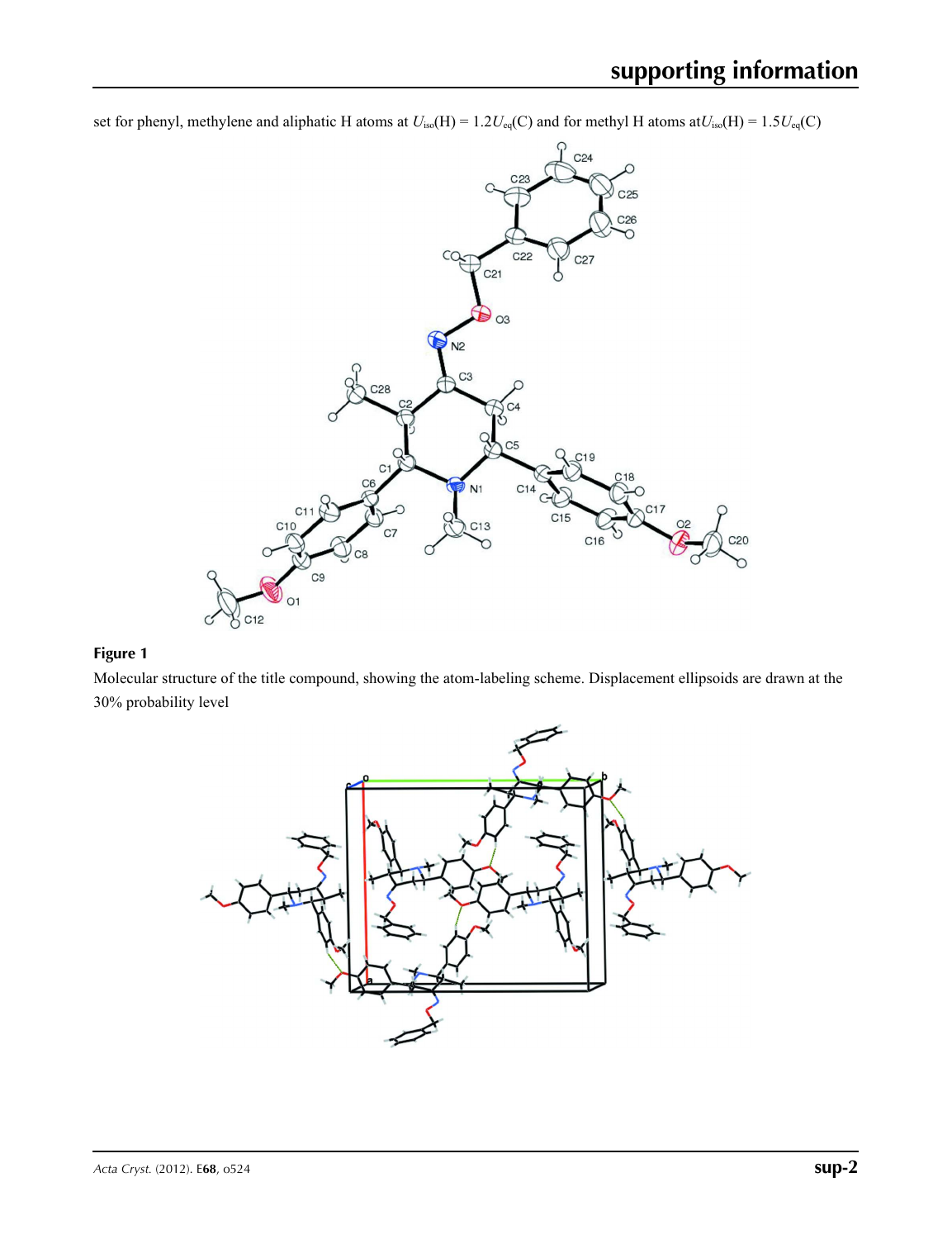set for phenyl, methylene and aliphatic H atoms at  $U_{iso}(H) = 1.2U_{eq}(C)$  and for methyl H atoms at  $U_{iso}(H) = 1.5U_{eq}(C)$ 



### **Figure 1**

Molecular structure of the title compound, showing the atom-labeling scheme. Displacement ellipsoids are drawn at the 30% probability level

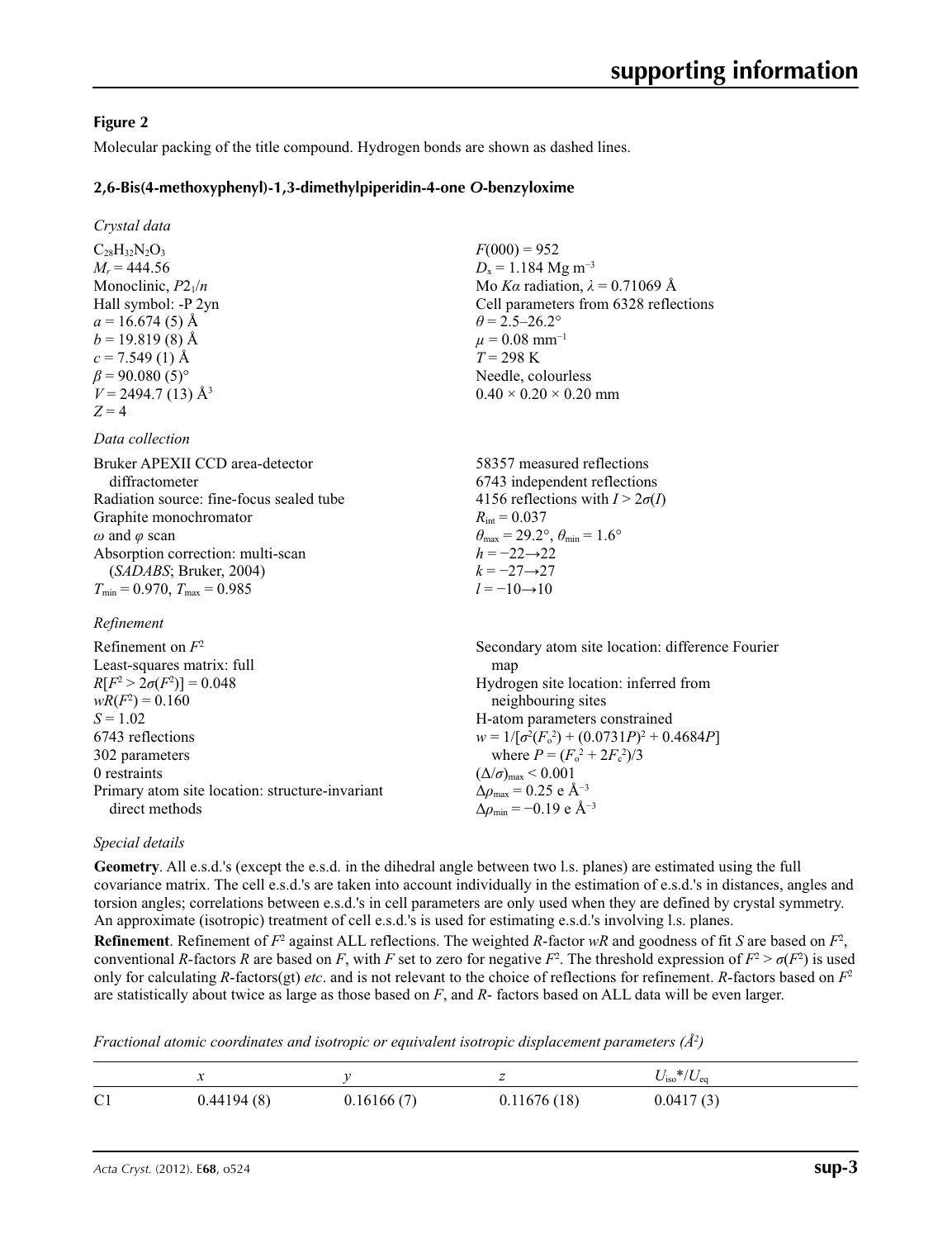### **Figure 2**

Molecular packing of the title compound. Hydrogen bonds are shown as dashed lines.

### **2,6-Bis(4-methoxyphenyl)-1,3-dimethylpiperidin-4-one** *O***-benzyloxime**

*Crystal data*

 $C_{28}H_{32}N_{2}O_{3}$  $M<sub>r</sub> = 444.56$ Monoclinic, *P*21/*n* Hall symbol: -P 2yn  $a = 16.674(5)$  Å  $b = 19.819(8)$  Å  $c = 7.549(1)$  Å  $\beta$  = 90.080 (5)<sup>°</sup>  $V = 2494.7(13)$  Å<sup>3</sup>  $Z = 4$ 

*Data collection*

Bruker APEXII CCD area-detector diffractometer Radiation source: fine-focus sealed tube Graphite monochromator *ω* and *φ* scan Absorption correction: multi-scan (*SADABS*; Bruker, 2004)  $T_{\text{min}} = 0.970$ ,  $T_{\text{max}} = 0.985$ 

*Refinement*

 $F(000) = 952$  $D_x = 1.184$  Mg m<sup>-3</sup> Mo *Kα* radiation,  $\lambda = 0.71069$  Å Cell parameters from 6328 reflections  $\theta$  = 2.5–26.2°  $\mu = 0.08$  mm<sup>-1</sup>  $T = 298 \text{ K}$ Needle, colourless  $0.40 \times 0.20 \times 0.20$  mm

58357 measured reflections 6743 independent reflections 4156 reflections with  $I > 2\sigma(I)$  $R_{\text{int}} = 0.037$  $\theta_{\text{max}} = 29.2^{\circ}, \theta_{\text{min}} = 1.6^{\circ}$  $h = -22 \rightarrow 22$ *k* = −27→27  $l = -10 \rightarrow 10$ 

Refinement on *F*<sup>2</sup> Least-squares matrix: full  $R[F^2 > 2\sigma(F^2)] = 0.048$  $wR(F^2) = 0.160$  $S = 1.02$ 6743 reflections 302 parameters 0 restraints Primary atom site location: structure-invariant direct methods Secondary atom site location: difference Fourier man Hydrogen site location: inferred from neighbouring sites H-atom parameters constrained  $w = 1/[\sigma^2 (F_o^2) + (0.0731P)^2 + 0.4684P]$ where  $P = (F_o^2 + 2F_c^2)/3$  $(\Delta/\sigma)_{\text{max}}$  < 0.001 Δ*ρ*max = 0.25 e Å−3  $\Delta\rho_{\rm min}$  = −0.19 e Å<sup>-3</sup>

### *Special details*

**Geometry**. All e.s.d.'s (except the e.s.d. in the dihedral angle between two l.s. planes) are estimated using the full covariance matrix. The cell e.s.d.'s are taken into account individually in the estimation of e.s.d.'s in distances, angles and torsion angles; correlations between e.s.d.'s in cell parameters are only used when they are defined by crystal symmetry. An approximate (isotropic) treatment of cell e.s.d.'s is used for estimating e.s.d.'s involving l.s. planes.

**Refinement**. Refinement of  $F^2$  against ALL reflections. The weighted *R*-factor  $wR$  and goodness of fit *S* are based on  $F^2$ , conventional *R*-factors *R* are based on *F*, with *F* set to zero for negative *F*<sup>2</sup>. The threshold expression of  $F^2 > \sigma(F^2)$  is used only for calculating *R*-factors(gt) *etc*. and is not relevant to the choice of reflections for refinement. *R*-factors based on *F*<sup>2</sup> are statistically about twice as large as those based on *F*, and *R*- factors based on ALL data will be even larger.

*Fractional atomic coordinates and isotropic or equivalent isotropic displacement parameters (Å<sup>2</sup>)* 

|                | $\cdot\!\cdot\!\cdot$ |            |             | $U_{\rm iso}*/U_{\rm eq}$ |
|----------------|-----------------------|------------|-------------|---------------------------|
| C <sub>1</sub> | 0.44194(8)            | 0.16166(7) | 0.11676(18) | 0.0417(3)                 |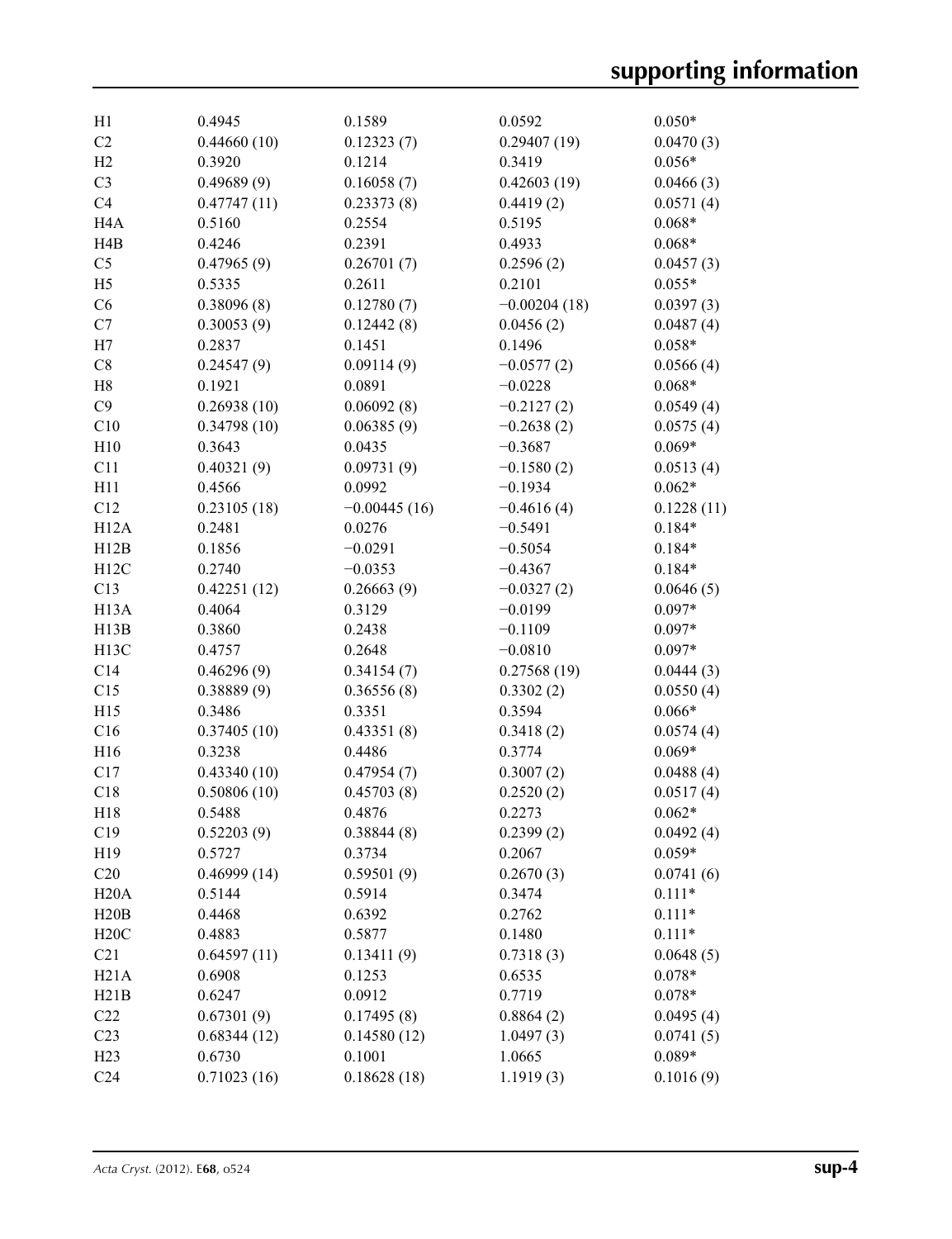| H1                | 0.4945      | 0.1589         | 0.0592         | $0.050*$   |
|-------------------|-------------|----------------|----------------|------------|
| C <sub>2</sub>    | 0.44660(10) | 0.12323(7)     | 0.29407(19)    | 0.0470(3)  |
| H2                | 0.3920      | 0.1214         | 0.3419         | $0.056*$   |
| C <sub>3</sub>    | 0.49689(9)  | 0.16058(7)     | 0.42603(19)    | 0.0466(3)  |
| C <sub>4</sub>    | 0.47747(11) | 0.23373(8)     | 0.4419(2)      | 0.0571(4)  |
| H <sub>4</sub> A  | 0.5160      | 0.2554         | 0.5195         | $0.068*$   |
| H4B               | 0.4246      | 0.2391         | 0.4933         | $0.068*$   |
| C <sub>5</sub>    | 0.47965(9)  | 0.26701(7)     | 0.2596(2)      | 0.0457(3)  |
| H <sub>5</sub>    | 0.5335      | 0.2611         | 0.2101         | $0.055*$   |
| C6                | 0.38096(8)  | 0.12780(7)     | $-0.00204(18)$ | 0.0397(3)  |
| C7                | 0.30053(9)  | 0.12442(8)     | 0.0456(2)      | 0.0487(4)  |
| H7                | 0.2837      | 0.1451         | 0.1496         | $0.058*$   |
| C8                | 0.24547(9)  | 0.09114(9)     | $-0.0577(2)$   | 0.0566(4)  |
| H8                | 0.1921      | 0.0891         | $-0.0228$      | $0.068*$   |
| C9                | 0.26938(10) | 0.06092(8)     | $-0.2127(2)$   | 0.0549(4)  |
| C10               | 0.34798(10) | 0.06385(9)     | $-0.2638(2)$   | 0.0575(4)  |
| H10               | 0.3643      | 0.0435         | $-0.3687$      | $0.069*$   |
| C11               | 0.40321(9)  | 0.09731(9)     | $-0.1580(2)$   | 0.0513(4)  |
| H11               | 0.4566      | 0.0992         | $-0.1934$      | $0.062*$   |
| C12               | 0.23105(18) | $-0.00445(16)$ | $-0.4616(4)$   | 0.1228(11) |
| H <sub>12</sub> A | 0.2481      | 0.0276         | $-0.5491$      | $0.184*$   |
| H12B              | 0.1856      | $-0.0291$      | $-0.5054$      | $0.184*$   |
| H12C              | 0.2740      | $-0.0353$      | $-0.4367$      | $0.184*$   |
| C13               | 0.42251(12) | 0.26663(9)     | $-0.0327(2)$   | 0.0646(5)  |
| H <sub>13</sub> A | 0.4064      | 0.3129         | $-0.0199$      | $0.097*$   |
| H13B              | 0.3860      | 0.2438         | $-0.1109$      | $0.097*$   |
| H <sub>13</sub> C | 0.4757      | 0.2648         | $-0.0810$      | $0.097*$   |
| C14               | 0.46296(9)  | 0.34154(7)     | 0.27568(19)    | 0.0444(3)  |
| C15               | 0.38889(9)  | 0.36556(8)     | 0.3302(2)      | 0.0550(4)  |
| H15               | 0.3486      | 0.3351         | 0.3594         | $0.066*$   |
| C16               | 0.37405(10) | 0.43351(8)     | 0.3418(2)      | 0.0574(4)  |
| H16               | 0.3238      | 0.4486         | 0.3774         | $0.069*$   |
| C17               | 0.43340(10) | 0.47954(7)     | 0.3007(2)      | 0.0488(4)  |
| C18               | 0.50806(10) | 0.45703(8)     | 0.2520(2)      | 0.0517(4)  |
| H18               | 0.5488      | 0.4876         | 0.2273         | $0.062*$   |
| C19               | 0.52203(9)  | 0.38844(8)     | 0.2399(2)      | 0.0492(4)  |
| H19               | 0.5727      | 0.3734         | 0.2067         | $0.059*$   |
| C20               | 0.46999(14) | 0.59501(9)     | 0.2670(3)      | 0.0741(6)  |
| H20A              | 0.5144      | 0.5914         | 0.3474         | $0.111*$   |
| H20B              | 0.4468      | 0.6392         | 0.2762         | $0.111*$   |
| H20C              | 0.4883      | 0.5877         | 0.1480         | $0.111*$   |
| C21               | 0.64597(11) | 0.13411(9)     | 0.7318(3)      | 0.0648(5)  |
| H21A              | 0.6908      | 0.1253         | 0.6535         | $0.078*$   |
| H21B              | 0.6247      | 0.0912         | 0.7719         | $0.078*$   |
| C22               | 0.67301(9)  | 0.17495(8)     | 0.8864(2)      | 0.0495(4)  |
| C <sub>23</sub>   | 0.68344(12) | 0.14580(12)    | 1.0497(3)      | 0.0741(5)  |
| H23               | 0.6730      | 0.1001         | 1.0665         | $0.089*$   |
| C <sub>24</sub>   | 0.71023(16) | 0.18628(18)    | 1.1919(3)      | 0.1016(9)  |
|                   |             |                |                |            |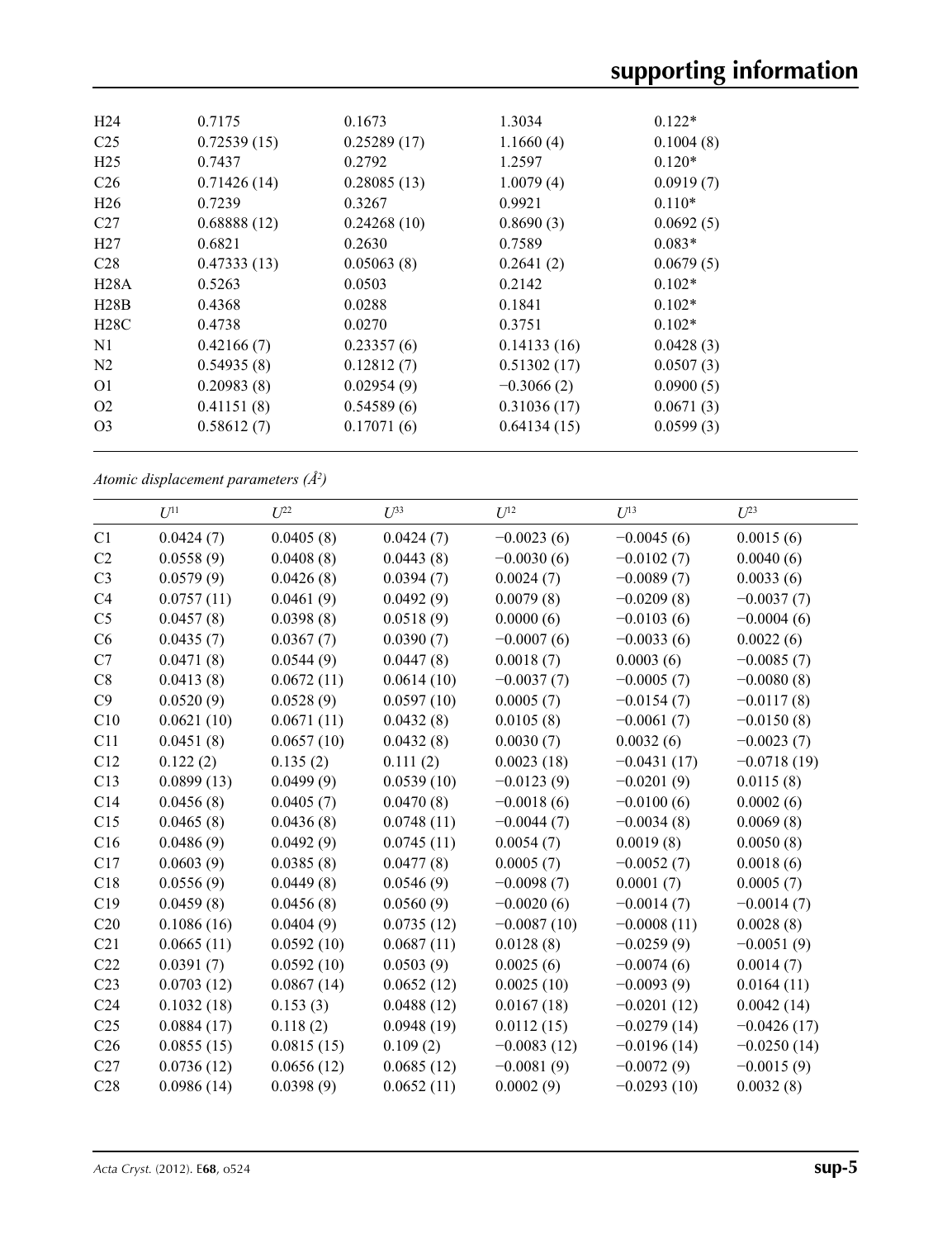| H <sub>24</sub> | 0.7175      | 0.1673      | 1.3034       | $0.122*$  |  |
|-----------------|-------------|-------------|--------------|-----------|--|
| C <sub>25</sub> | 0.72539(15) | 0.25289(17) | 1.1660(4)    | 0.1004(8) |  |
| H <sub>25</sub> | 0.7437      | 0.2792      | 1.2597       | $0.120*$  |  |
| C <sub>26</sub> | 0.71426(14) | 0.28085(13) | 1.0079(4)    | 0.0919(7) |  |
| H <sub>26</sub> | 0.7239      | 0.3267      | 0.9921       | $0.110*$  |  |
| C <sub>27</sub> | 0.68888(12) | 0.24268(10) | 0.8690(3)    | 0.0692(5) |  |
| H27             | 0.6821      | 0.2630      | 0.7589       | $0.083*$  |  |
| C <sub>28</sub> | 0.47333(13) | 0.05063(8)  | 0.2641(2)    | 0.0679(5) |  |
| H28A            | 0.5263      | 0.0503      | 0.2142       | $0.102*$  |  |
| H28B            | 0.4368      | 0.0288      | 0.1841       | $0.102*$  |  |
| H28C            | 0.4738      | 0.0270      | 0.3751       | $0.102*$  |  |
| N1              | 0.42166(7)  | 0.23357(6)  | 0.14133(16)  | 0.0428(3) |  |
| N <sub>2</sub>  | 0.54935(8)  | 0.12812(7)  | 0.51302(17)  | 0.0507(3) |  |
| O <sub>1</sub>  | 0.20983(8)  | 0.02954(9)  | $-0.3066(2)$ | 0.0900(5) |  |
| O <sub>2</sub>  | 0.41151(8)  | 0.54589(6)  | 0.31036(17)  | 0.0671(3) |  |
| O <sub>3</sub>  | 0.58612(7)  | 0.17071(6)  | 0.64134(15)  | 0.0599(3) |  |
|                 |             |             |              |           |  |

*Atomic displacement parameters (Å2 )*

|                 | $U^{11}$   | $U^{22}$   | $U^{33}$   | $U^{12}$      | $U^{13}$      | $U^{23}$      |
|-----------------|------------|------------|------------|---------------|---------------|---------------|
| C1              | 0.0424(7)  | 0.0405(8)  | 0.0424(7)  | $-0.0023(6)$  | $-0.0045(6)$  | 0.0015(6)     |
| C <sub>2</sub>  | 0.0558(9)  | 0.0408(8)  | 0.0443(8)  | $-0.0030(6)$  | $-0.0102(7)$  | 0.0040(6)     |
| C <sub>3</sub>  | 0.0579(9)  | 0.0426(8)  | 0.0394(7)  | 0.0024(7)     | $-0.0089(7)$  | 0.0033(6)     |
| C <sub>4</sub>  | 0.0757(11) | 0.0461(9)  | 0.0492(9)  | 0.0079(8)     | $-0.0209(8)$  | $-0.0037(7)$  |
| C <sub>5</sub>  | 0.0457(8)  | 0.0398(8)  | 0.0518(9)  | 0.0000(6)     | $-0.0103(6)$  | $-0.0004(6)$  |
| C6              | 0.0435(7)  | 0.0367(7)  | 0.0390(7)  | $-0.0007(6)$  | $-0.0033(6)$  | 0.0022(6)     |
| C7              | 0.0471(8)  | 0.0544(9)  | 0.0447(8)  | 0.0018(7)     | 0.0003(6)     | $-0.0085(7)$  |
| C8              | 0.0413(8)  | 0.0672(11) | 0.0614(10) | $-0.0037(7)$  | $-0.0005(7)$  | $-0.0080(8)$  |
| C9              | 0.0520(9)  | 0.0528(9)  | 0.0597(10) | 0.0005(7)     | $-0.0154(7)$  | $-0.0117(8)$  |
| C10             | 0.0621(10) | 0.0671(11) | 0.0432(8)  | 0.0105(8)     | $-0.0061(7)$  | $-0.0150(8)$  |
| C11             | 0.0451(8)  | 0.0657(10) | 0.0432(8)  | 0.0030(7)     | 0.0032(6)     | $-0.0023(7)$  |
| C12             | 0.122(2)   | 0.135(2)   | 0.111(2)   | 0.0023(18)    | $-0.0431(17)$ | $-0.0718(19)$ |
| C13             | 0.0899(13) | 0.0499(9)  | 0.0539(10) | $-0.0123(9)$  | $-0.0201(9)$  | 0.0115(8)     |
| C14             | 0.0456(8)  | 0.0405(7)  | 0.0470(8)  | $-0.0018(6)$  | $-0.0100(6)$  | 0.0002(6)     |
| C15             | 0.0465(8)  | 0.0436(8)  | 0.0748(11) | $-0.0044(7)$  | $-0.0034(8)$  | 0.0069(8)     |
| C16             | 0.0486(9)  | 0.0492(9)  | 0.0745(11) | 0.0054(7)     | 0.0019(8)     | 0.0050(8)     |
| C17             | 0.0603(9)  | 0.0385(8)  | 0.0477(8)  | 0.0005(7)     | $-0.0052(7)$  | 0.0018(6)     |
| C18             | 0.0556(9)  | 0.0449(8)  | 0.0546(9)  | $-0.0098(7)$  | 0.0001(7)     | 0.0005(7)     |
| C19             | 0.0459(8)  | 0.0456(8)  | 0.0560(9)  | $-0.0020(6)$  | $-0.0014(7)$  | $-0.0014(7)$  |
| C20             | 0.1086(16) | 0.0404(9)  | 0.0735(12) | $-0.0087(10)$ | $-0.0008(11)$ | 0.0028(8)     |
| C21             | 0.0665(11) | 0.0592(10) | 0.0687(11) | 0.0128(8)     | $-0.0259(9)$  | $-0.0051(9)$  |
| C22             | 0.0391(7)  | 0.0592(10) | 0.0503(9)  | 0.0025(6)     | $-0.0074(6)$  | 0.0014(7)     |
| C <sub>23</sub> | 0.0703(12) | 0.0867(14) | 0.0652(12) | 0.0025(10)    | $-0.0093(9)$  | 0.0164(11)    |
| C <sub>24</sub> | 0.1032(18) | 0.153(3)   | 0.0488(12) | 0.0167(18)    | $-0.0201(12)$ | 0.0042(14)    |
| C <sub>25</sub> | 0.0884(17) | 0.118(2)   | 0.0948(19) | 0.0112(15)    | $-0.0279(14)$ | $-0.0426(17)$ |
| C <sub>26</sub> | 0.0855(15) | 0.0815(15) | 0.109(2)   | $-0.0083(12)$ | $-0.0196(14)$ | $-0.0250(14)$ |
| C27             | 0.0736(12) | 0.0656(12) | 0.0685(12) | $-0.0081(9)$  | $-0.0072(9)$  | $-0.0015(9)$  |
| C28             | 0.0986(14) | 0.0398(9)  | 0.0652(11) | 0.0002(9)     | $-0.0293(10)$ | 0.0032(8)     |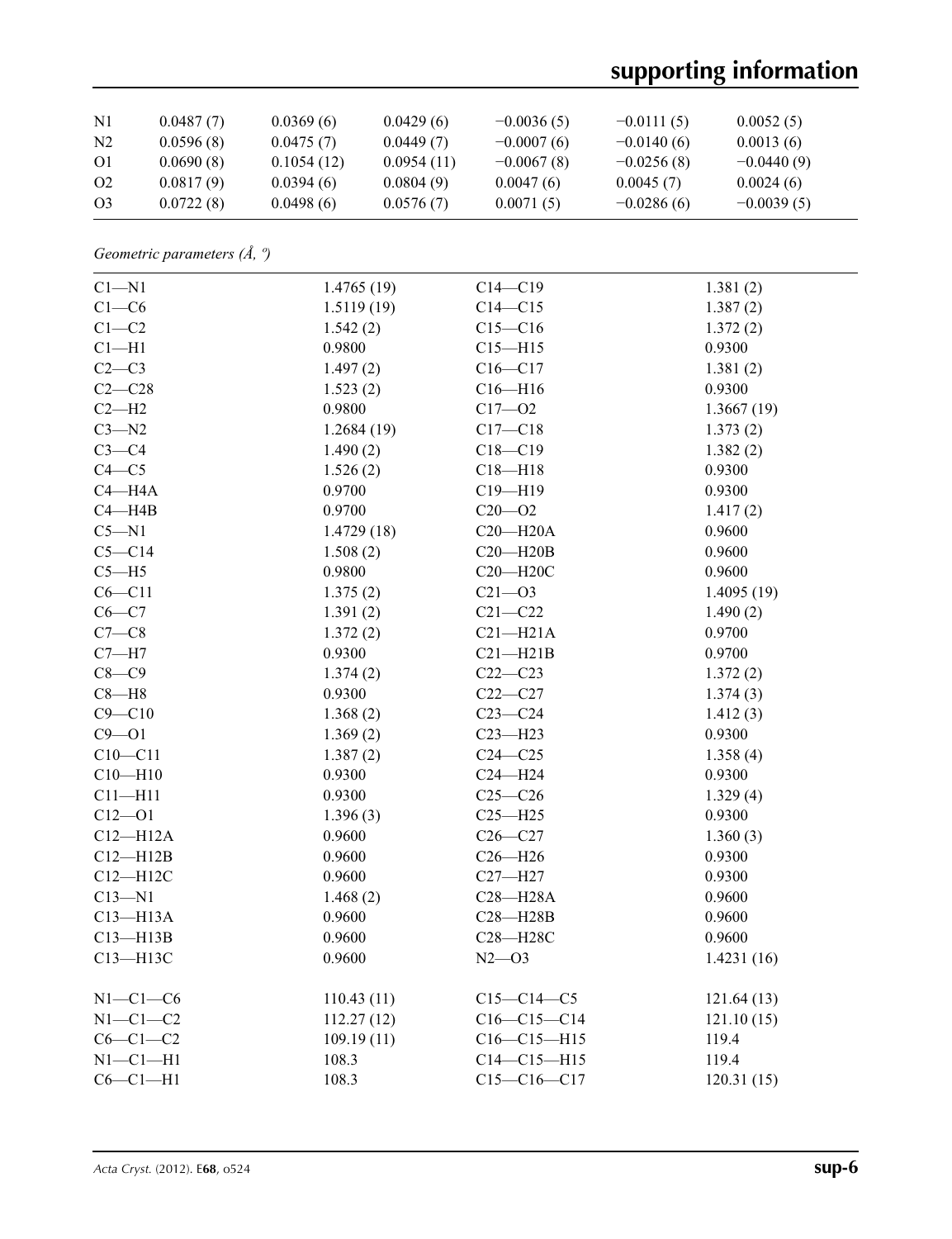# **supporting information**

| $\mathbf{N}$   | 0.0487(7) | 0.0369(6)  | 0.0429(6)  | $-0.0036(5)$ | $-0.0111(5)$ | 0.0052(5)    |  |
|----------------|-----------|------------|------------|--------------|--------------|--------------|--|
| N <sub>2</sub> | 0.0596(8) | 0.0475(7)  | 0.0449(7)  | $-0.0007(6)$ | $-0.0140(6)$ | 0.0013(6)    |  |
| O1             | 0.0690(8) | 0.1054(12) | 0.0954(11) | $-0.0067(8)$ | $-0.0256(8)$ | $-0.0440(9)$ |  |
| O <sub>2</sub> | 0.0817(9) | 0.0394(6)  | 0.0804(9)  | 0.0047(6)    | 0.0045(7)    | 0.0024(6)    |  |
| O <sub>3</sub> | 0.0722(8) | 0.0498(6)  | 0.0576(7)  | 0.0071(5)    | $-0.0286(6)$ | $-0.0039(5)$ |  |

*Geometric parameters (Å, º)*

| $C1 - N1$    | 1.4765(19) | $C14 - C19$       | 1.381(2)   |
|--------------|------------|-------------------|------------|
| $C1-C6$      | 1.5119(19) | $C14 - C15$       | 1.387(2)   |
| $C1-C2$      | 1.542(2)   | $C15 - C16$       | 1.372(2)   |
| $Cl-H1$      | 0.9800     | $C15 - H15$       | 0.9300     |
| $C2-C3$      | 1.497(2)   | $C16 - C17$       | 1.381(2)   |
| $C2-C28$     | 1.523(2)   | $C16 - H16$       | 0.9300     |
| $C2-H2$      | 0.9800     | $C17 - 02$        | 1.3667(19) |
| $C3 - N2$    | 1.2684(19) | $C17 - C18$       | 1.373(2)   |
| $C3-C4$      | 1.490(2)   | $C18 - C19$       | 1.382(2)   |
| $C4 - C5$    | 1.526(2)   | $C18 - H18$       | 0.9300     |
| $C4 - H4A$   | 0.9700     | $C19 - H19$       | 0.9300     |
| $C4 - H4B$   | 0.9700     | $C20 - 02$        | 1.417(2)   |
| $C5 - N1$    | 1.4729(18) | $C20 - H20A$      | 0.9600     |
| $C5 - C14$   | 1.508(2)   | $C20 - H20B$      | 0.9600     |
| $C5 - H5$    | 0.9800     | $C20 - H20C$      | 0.9600     |
| $C6 - C11$   | 1.375(2)   | $C21 - O3$        | 1.4095(19) |
| $C6-C7$      | 1.391(2)   | $C21 - C22$       | 1.490(2)   |
| $C7-C8$      | 1.372(2)   | $C21 - H21A$      | 0.9700     |
| $C7 - H7$    | 0.9300     | $C21 - H21B$      | 0.9700     |
| $C8-C9$      | 1.374(2)   | $C22-C23$         | 1.372(2)   |
| $C8 - H8$    | 0.9300     | $C22 - C27$       | 1.374(3)   |
| $C9 - C10$   | 1.368(2)   | $C23-C24$         | 1.412(3)   |
| $C9 - O1$    | 1.369(2)   | $C23 - H23$       | 0.9300     |
| $C10 - C11$  | 1.387(2)   | $C24 - C25$       | 1.358(4)   |
| $C10 - H10$  | 0.9300     | $C24 - H24$       | 0.9300     |
| $C11 - H11$  | 0.9300     | $C25-C26$         | 1.329(4)   |
| $C12 - O1$   | 1.396(3)   | $C25 - H25$       | 0.9300     |
| $C12 - H12A$ | 0.9600     | $C26-C27$         | 1.360(3)   |
| $C12 - H12B$ | 0.9600     | $C26 - H26$       | 0.9300     |
| $C12 - H12C$ | 0.9600     | $C27 - H27$       | 0.9300     |
| $C13 - N1$   | 1.468(2)   | $C28 - H28A$      | 0.9600     |
| $C13 - H13A$ | 0.9600     | $C28 - H28B$      | 0.9600     |
| $C13 - H13B$ | 0.9600     | C28-H28C          | 0.9600     |
| C13-H13C     | 0.9600     | $N2 - 03$         | 1.4231(16) |
|              |            |                   |            |
| $N1-C1-C6$   | 110.43(11) | $C15-C14-C5$      | 121.64(13) |
| $N1-C1-C2$   | 112.27(12) | $C16-C15-C14$     | 121.10(15) |
| $C6-C1-C2$   | 109.19(11) | $C16 - C15 - H15$ | 119.4      |
| $N1-C1-H1$   | 108.3      | $C14 - C15 - H15$ | 119.4      |
| $C6-C1-H1$   | 108.3      | $C15-C16-C17$     | 120.31(15) |
|              |            |                   |            |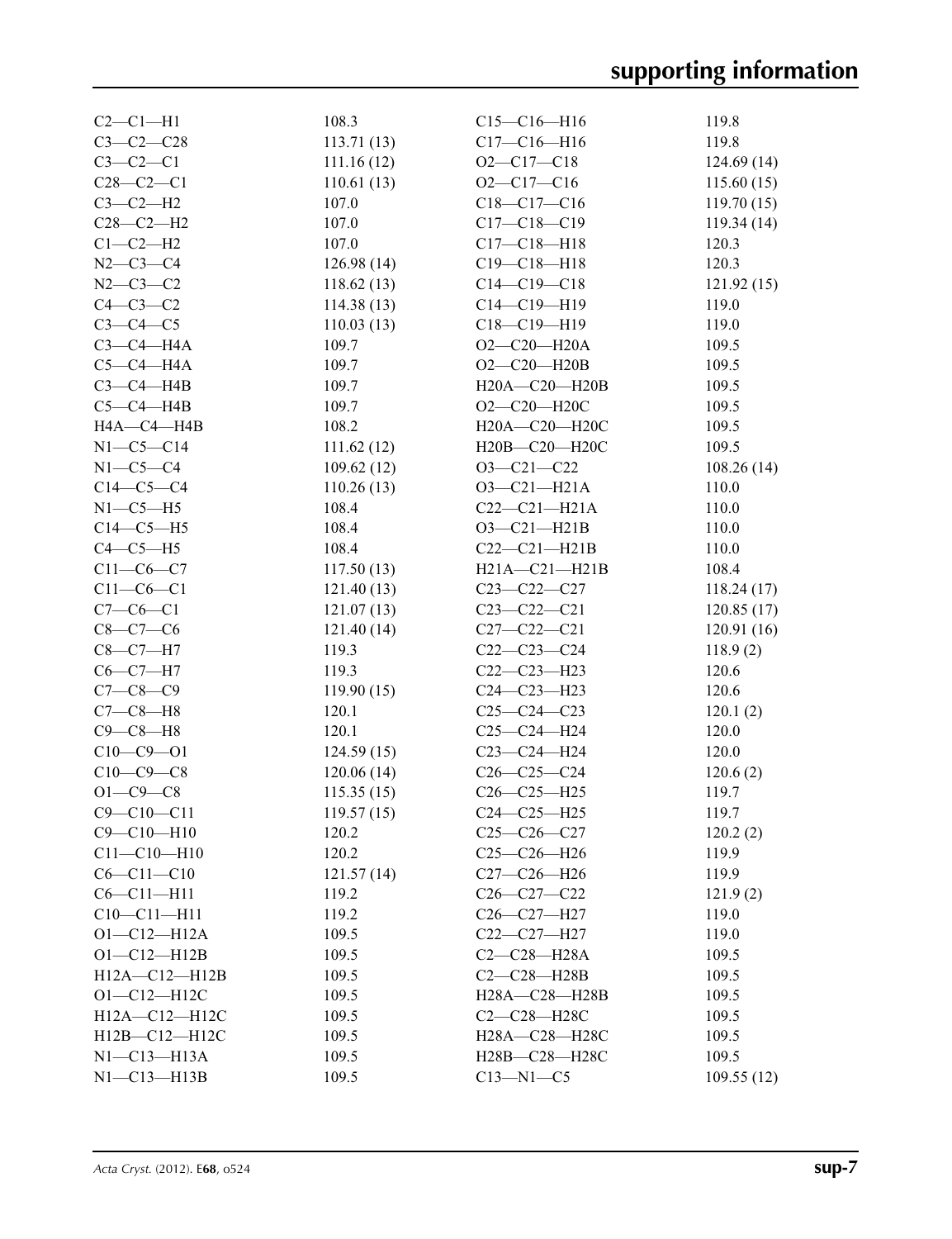| $C2-C1-H1$          | 108.3      | $C15-C16-H16$       | 119.8      |
|---------------------|------------|---------------------|------------|
| $C3 - C2 - C28$     | 113.71(13) | $C17 - C16 - H16$   | 119.8      |
| $C3-C2-C1$          | 111.16(12) | $O2 - C17 - C18$    | 124.69(14) |
| $C28 - C2 - C1$     | 110.61(13) | $O2-C17-C16$        | 115.60(15) |
| $C3-C2-H2$          | 107.0      | $C18 - C17 - C16$   | 119.70(15) |
| $C28-C2-H2$         | 107.0      | $C17 - C18 - C19$   | 119.34(14) |
| $C1-C2-H2$          | 107.0      | $C17 - C18 - H18$   | 120.3      |
| $N2 - C3 - C4$      | 126.98(14) | $C19 - C18 - H18$   | 120.3      |
| $N2 - C3 - C2$      | 118.62(13) | $C14 - C19 - C18$   | 121.92(15) |
| $C4-C3-C2$          | 114.38(13) | $C14 - C19 - H19$   | 119.0      |
| $C3-C4-C5$          | 110.03(13) | $C18 - C19 - H19$   | 119.0      |
| $C3-C4-H4A$         | 109.7      | $O2-C20-H20A$       | 109.5      |
| $C5-C4-H4A$         | 109.7      | $O2 - C20 - H20B$   | 109.5      |
| $C3-C4-H4B$         | 109.7      | H20A-C20-H20B       | 109.5      |
| $C5-C4-H4B$         | 109.7      | $O2 - C20 - H20C$   | 109.5      |
| HA—C4—H4B           | 108.2      | H20A-C20-H20C       | 109.5      |
| $N1-C5-C14$         | 111.62(12) | H20B-C20-H20C       | 109.5      |
| $N1-C5-C4$          | 109.62(12) | $O3 - C21 - C22$    | 108.26(14) |
| $C14-C5-C4$         | 110.26(13) | $O3 - C21 - H21A$   | 110.0      |
| $N1-C5-H5$          | 108.4      | $C22-C21-H21A$      | 110.0      |
| $C14-C5-H5$         | 108.4      | $O3 - C21 - H21B$   | 110.0      |
| $C4-C5-H5$          | 108.4      | $C22-C21-H21B$      | 110.0      |
| $C11-C6-C7$         | 117.50(13) | $H21A - C21 - H21B$ | 108.4      |
| $C11 - C6 - C1$     | 121.40(13) | $C23 - C22 - C27$   | 118.24(17) |
| $C7 - C6 - C1$      | 121.07(13) | $C23 - C22 - C21$   | 120.85(17) |
| $C8 - C7 - C6$      | 121.40(14) | $C27 - C22 - C21$   | 120.91(16) |
| $C8-C7-H7$          | 119.3      | $C22-C23-C24$       | 118.9(2)   |
| $C6-C7-H7$          | 119.3      | $C22-C23-H23$       | 120.6      |
| $C7 - C8 - C9$      | 119.90(15) | $C24 - C23 - H23$   | 120.6      |
| $C7-C8-H8$          | 120.1      | $C25-C24-C23$       | 120.1(2)   |
| $C9-C8-H8$          | 120.1      | $C25-C24-H24$       | 120.0      |
| $C10-C9 - O1$       | 124.59(15) | $C23 - C24 - H24$   | 120.0      |
| $C10-C9-C8$         | 120.06(14) | $C26 - C25 - C24$   | 120.6(2)   |
| $O1 - C9 - C8$      | 115.35(15) | $C26 - C25 - H25$   | 119.7      |
| $C9 - C10 - C11$    | 119.57(15) | $C24-C25-H25$       | 119.7      |
| $C9 - C10 - H10$    | 120.2      | $C25-C26-C27$       | 120.2(2)   |
| $C11 - C10 - H10$   | 120.2      | $C25-C26-H26$       | 119.9      |
| $C6 - C11 - C10$    | 121.57(14) | $C27-C26-H26$       | 119.9      |
| $C6 - C11 - H11$    | 119.2      | $C26-C27-C22$       | 121.9(2)   |
| $C10 - C11 - H11$   | 119.2      | $C26-C27-H27$       | 119.0      |
| $O1 - C12 - H12A$   | 109.5      | C22-C27-H27         | 119.0      |
| $O1 - C12 - H12B$   | 109.5      | $C2-C28-H28A$       | 109.5      |
| $H12A - C12 - H12B$ | 109.5      | C2-C28-H28B         | 109.5      |
| $O1 - C12 - H12C$   | 109.5      | H28A-C28-H28B       | 109.5      |
| $H12A - C12 - H12C$ | 109.5      | $C2-C28-H28C$       | 109.5      |
| H12B-C12-H12C       | 109.5      | H28A-C28-H28C       | 109.5      |
| $N1-C13-H13A$       | 109.5      | H28B-C28-H28C       | 109.5      |
| $N1 - C13 - H13B$   | 109.5      | $C13 - N1 - C5$     | 109.55(12) |